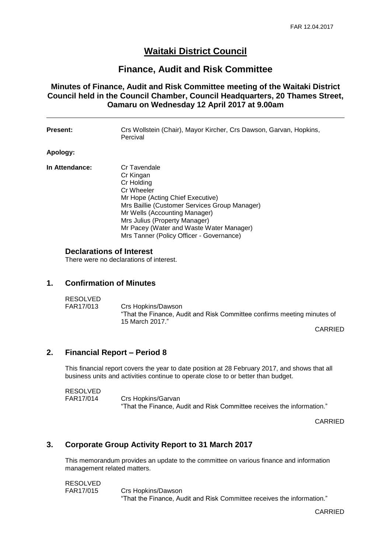# **Waitaki District Council**

## **Finance, Audit and Risk Committee**

**Minutes of Finance, Audit and Risk Committee meeting of the Waitaki District Council held in the Council Chamber, Council Headquarters, 20 Thames Street, Oamaru on Wednesday 12 April 2017 at 9.00am**

| <b>Present:</b> | Crs Wollstein (Chair), Mayor Kircher, Crs Dawson, Garvan, Hopkins,<br>Percival                                                                                                                                                                                                                       |
|-----------------|------------------------------------------------------------------------------------------------------------------------------------------------------------------------------------------------------------------------------------------------------------------------------------------------------|
| Apology:        |                                                                                                                                                                                                                                                                                                      |
| In Attendance:  | Cr Tavendale<br>Cr Kingan<br>Cr Holding<br>Cr Wheeler<br>Mr Hope (Acting Chief Executive)<br>Mrs Baillie (Customer Services Group Manager)<br>Mr Wells (Accounting Manager)<br>Mrs Julius (Property Manager)<br>Mr Pacey (Water and Waste Water Manager)<br>Mrs Tanner (Policy Officer - Governance) |

#### **Declarations of Interest**

There were no declarations of interest.

#### **1. Confirmation of Minutes**

RESOLVED<br>FAR17/013 Crs Hopkins/Dawson "That the Finance, Audit and Risk Committee confirms meeting minutes of 15 March 2017."

CARRIED

### **2. Financial Report – Period 8**

This financial report covers the year to date position at 28 February 2017, and shows that all business units and activities continue to operate close to or better than budget.

RESOLVED<br>FAR17/014 Crs Hopkins/Garvan "That the Finance, Audit and Risk Committee receives the information."

CARRIED

### **3. Corporate Group Activity Report to 31 March 2017**

This memorandum provides an update to the committee on various finance and information management related matters.

RESOLVED

FAR17/015 Crs Hopkins/Dawson "That the Finance, Audit and Risk Committee receives the information."

CARRIED